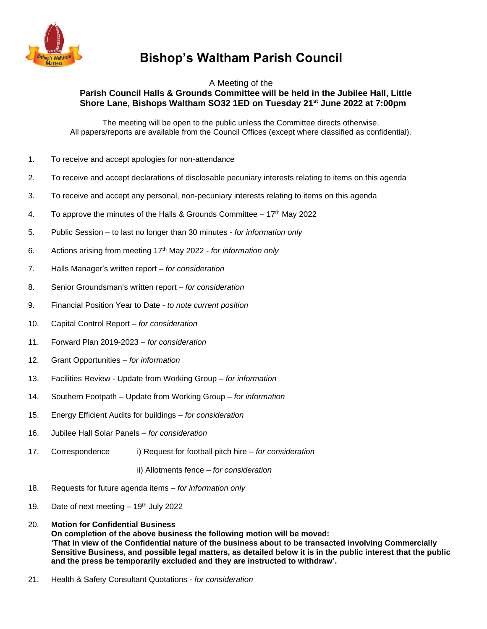

## **Bishop's Waltham Parish Council**

## A Meeting of the **Parish Council Halls & Grounds Committee will be held in the Jubilee Hall, Little Shore Lane, Bishops Waltham SO32 1ED on Tuesday 21st June 2022 at 7:00pm**

The meeting will be open to the public unless the Committee directs otherwise. All papers/reports are available from the Council Offices (except where classified as confidential).

- 1. To receive and accept apologies for non-attendance
- 2. To receive and accept declarations of disclosable pecuniary interests relating to items on this agenda
- 3. To receive and accept any personal, non-pecuniary interests relating to items on this agenda
- 4. To approve the minutes of the Halls & Grounds Committee  $-17<sup>th</sup>$  May 2022
- 5. Public Session to last no longer than 30 minutes *for information only*
- 6. Actions arising from meeting 17 th May 2022 *for information only*
- 7. Halls Manager's written report *for consideration*
- 8. Senior Groundsman's written report *for consideration*
- 9. Financial Position Year to Date *to note current position*
- 10. Capital Control Report *for consideration*
- 11. Forward Plan 2019-2023 *for consideration*
- 12. Grant Opportunities *– for information*
- 13. Facilities Review Update from Working Group *– for information*
- 14. Southern Footpath Update from Working Group *– for information*
- 15. Energy Efficient Audits for buildings *– for consideration*
- 16. Jubilee Hall Solar Panels *– for consideration*
- 17. Correspondence i) Request for football pitch hire *– for consideration*

ii) Allotments fence *– for consideration*

- 18. Requests for future agenda items *for information only*
- 19. Date of next meeting  $-19<sup>th</sup>$  July 2022
- 20. **Motion for Confidential Business On completion of the above business the following motion will be moved: 'That in view of the Confidential nature of the business about to be transacted involving Commercially Sensitive Business, and possible legal matters, as detailed below it is in the public interest that the public and the press be temporarily excluded and they are instructed to withdraw'.**
- 21. Health & Safety Consultant Quotations *- for consideration*